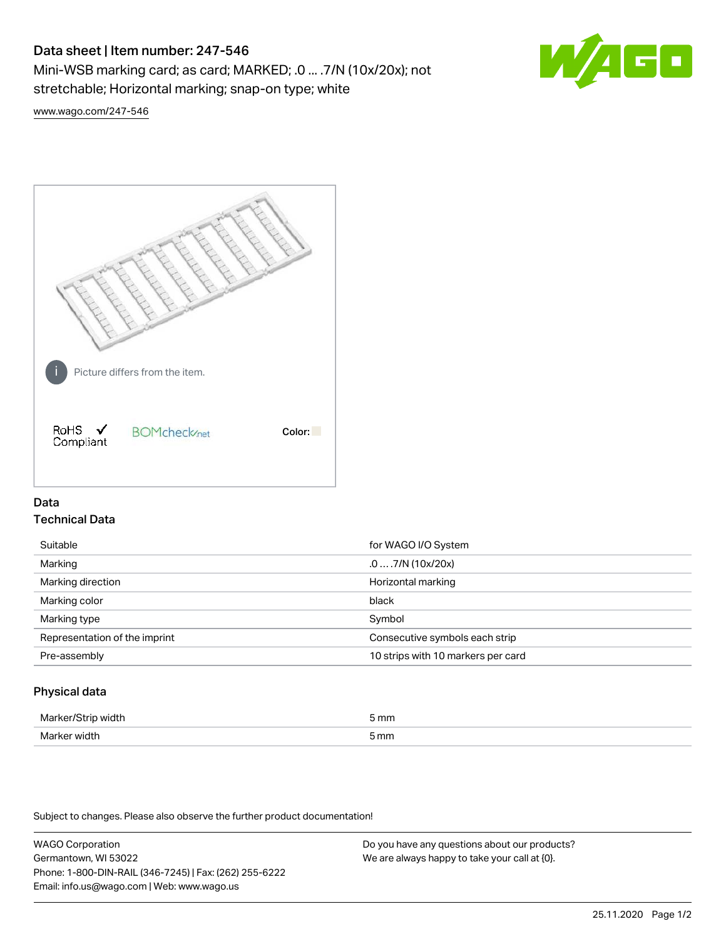# Data sheet | Item number: 247-546

Mini-WSB marking card; as card; MARKED; .0 ... .7/N (10x/20x); not stretchable; Horizontal marking; snap-on type; white



[www.wago.com/247-546](http://www.wago.com/247-546)



## Data Technical Data

| Suitable                      | for WAGO I/O System                |
|-------------------------------|------------------------------------|
| Marking                       | $.0 \dots 7/N$ (10x/20x)           |
| Marking direction             | Horizontal marking                 |
| Marking color                 | black                              |
| Marking type                  | Symbol                             |
| Representation of the imprint | Consecutive symbols each strip     |
| Pre-assembly                  | 10 strips with 10 markers per card |
|                               |                                    |

## Physical data

| Mar                      | 5 mm |
|--------------------------|------|
| M <sub>cr</sub><br>width | 5 mm |

Subject to changes. Please also observe the further product documentation!

WAGO Corporation Germantown, WI 53022 Phone: 1-800-DIN-RAIL (346-7245) | Fax: (262) 255-6222 Email: info.us@wago.com | Web: www.wago.us Do you have any questions about our products? We are always happy to take your call at {0}.